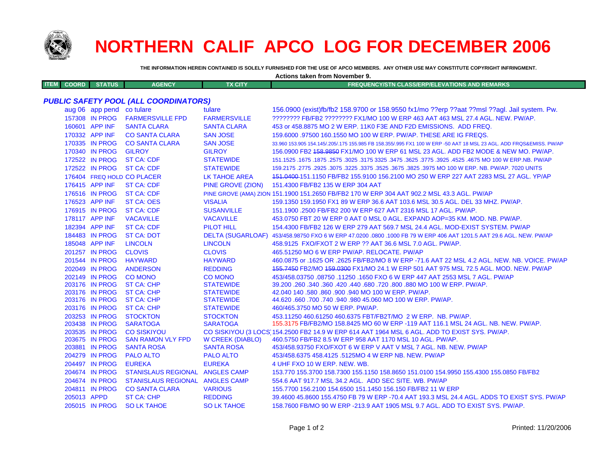

## **NORTHERN CALIF APCO LOG FOR DECEMBER 2006**

**Actions taken from November 9.**

**THE INFORMATION HEREIN CONTAINED IS SOLELY FURNISHED FOR THE USE OF APCO MEMBERS. ANY OTHER USE MAY CONSTITUTE COPYRIGHT INFRINGMENT.**

| <b>ITEM</b><br><b>COORD</b>                  | <b>STATUS</b>             | <b>AGENCY</b>                   | <b>TX CITY</b>          | <b>FREQUENCY/STN CLASS/ERP/ELEVATIONS AND REMARKS</b>                                                               |  |  |  |  |
|----------------------------------------------|---------------------------|---------------------------------|-------------------------|---------------------------------------------------------------------------------------------------------------------|--|--|--|--|
|                                              |                           |                                 |                         |                                                                                                                     |  |  |  |  |
| <b>PUBLIC SAFETY POOL (ALL COORDINATORS)</b> |                           |                                 |                         |                                                                                                                     |  |  |  |  |
|                                              | aug 06 app pend co tulare |                                 | tulare                  | 156.0900 (exist)fb/fb2 158.9700 or 158.9550 fx1/mo ??erp ??aat ??msl ??agl. Jail system. Pw.                        |  |  |  |  |
|                                              | 157308 IN PROG            | <b>FARMERSVILLE FPD</b>         | <b>FARMERSVILLE</b>     | ???????? FB/FB2 ???????? FX1/MO 100 W ERP 463 AAT 463 MSL 27.4 AGL. NEW. PW/AP.                                     |  |  |  |  |
|                                              | 160601 APP INF            | <b>SANTA CLARA</b>              | <b>SANTA CLARA</b>      | 453 or 458,8875 MO 2 W ERP, 11K0 F3E AND F2D EMISSIONS. ADD FREQ.                                                   |  |  |  |  |
|                                              | 170332 APP INF            | <b>CO SANTA CLARA</b>           | <b>SAN JOSE</b>         | 159,6000 .97500 160.1550 MO 100 W ERP. PW/AP. THESE ARE IG FREQS.                                                   |  |  |  |  |
|                                              | 170335 IN PROG            | <b>CO SANTA CLARA</b>           | <b>SAN JOSE</b>         | 33.960 153.905 154.145/.205/.175 155.985 FB 158.355/.995 FX1 100 W ERP -50 AAT 18 MSL 23 AGL. ADD FRQS&EMISS. PW/AP |  |  |  |  |
|                                              | 170340 IN PROG            | <b>GILROY</b>                   | <b>GILROY</b>           | 156.0900 FB2 <del>158.9850</del> FX1/MO 100 W ERP 61 MSL 23 AGL. ADD FB2 MODE & NEW MO. PW/AP.                      |  |  |  |  |
|                                              | 172522 IN PROG            | <b>ST CA: CDF</b>               | <b>STATEWIDE</b>        | 151.1525 .1675 NO 100 W ERP.NB. PW/AP 325. 3775 .3625 .3475 .3625 .3775 .3625 .3625. 1675 .1675 .1675 .1675 .       |  |  |  |  |
|                                              | 172522 IN PROG            | <b>ST CA: CDF</b>               | <b>STATEWIDE</b>        | 159.2175 .2775 .2925 .3075 .3225 .3375 .3525 .3675 .3825 .3975 MO 100 W ERP. NB. PW/AP. 7020 UNITS                  |  |  |  |  |
|                                              |                           | 176404 FREQ HOLD CO PLACER      | <b>LK TAHOE AREA</b>    | 151.0400-151.1150 FB/FB2 155.9100 156.2100 MO 250 W ERP 227 AAT 2283 MSL 27 AGL. YP/AP                              |  |  |  |  |
|                                              | 176415 APP INF            | <b>ST CA: CDF</b>               | PINE GROVE (ZION)       | 151.4300 FB/FB2 135 W ERP 304 AAT                                                                                   |  |  |  |  |
|                                              | 176516 IN PROG            | <b>ST CA: CDF</b>               |                         | PINE GROVE (AMA) ZION 151.1900 151.2650 FB/FB2 170 W ERP 304 AAT 902.2 MSL 43.3 AGL. PW/AP                          |  |  |  |  |
|                                              | 176523 APP INF            | <b>ST CA: OES</b>               | <b>VISALIA</b>          | 159.1350 159.1950 FX1 89 W ERP 36.6 AAT 103.6 MSL 30.5 AGL. DEL 33 MHZ. PW/AP.                                      |  |  |  |  |
|                                              | 176915 IN PROG            | <b>ST CA: CDF</b>               | <b>SUSANVILLE</b>       | 151.1900.2500 FB/FB2 200 W ERP 627 AAT 2316 MSL 17 AGL. PW/AP.                                                      |  |  |  |  |
|                                              | 178117 APP INF            | <b>VACAVILLE</b>                | <b>VACAVILLE</b>        | 453.0750 FBT 20 W ERP 0 AAT 0 MSL 0 AGL. EXPAND AOP=35 KM. MOD. NB. PW/AP.                                          |  |  |  |  |
|                                              | 182394 APP INF            | <b>ST CA: CDF</b>               | PILOT HILL              | 154,4300 FB/FB2 126 W ERP 279 AAT 569.7 MSL 24.4 AGL, MOD-EXIST SYSTEM, PW/AP                                       |  |  |  |  |
|                                              | 184483 IN PROG            | <b>ST CA: DOT</b>               |                         | DELTA (SUGARLOAF) 453/458.98750 FXO 6 W ERP 47.0200 .0800 .1000 FB 79 W ERP 406 AAT 1201.5 AAT 29.6 AGL. NEW. PW/AP |  |  |  |  |
|                                              | 185048 APP INF            | <b>LINCOLN</b>                  | <b>LINCOLN</b>          | 458.9125 FXO/FXOT 2 W ERP ?? AAT 36.6 MSL 7.0 AGL. PW/AP.                                                           |  |  |  |  |
|                                              | 201257 IN PROG            | <b>CLOVIS</b>                   | <b>CLOVIS</b>           | 465.51250 MO 6 W ERP PW/AP. RELOCATE. PW/AP                                                                         |  |  |  |  |
|                                              | 201544 IN PROG            | <b>HAYWARD</b>                  | <b>HAYWARD</b>          | 460.0875 or .1625 OR .2625 FB/FB2/MO 8 W ERP -71.6 AAT 22 MSL 4.2 AGL. NEW. NB. VOICE. PW/AP                        |  |  |  |  |
|                                              | 202049 IN PROG            | <b>ANDERSON</b>                 | <b>REDDING</b>          | 155,7450 FB2/MO 159,0300 FX1/MO 24.1 W ERP 501 AAT 975 MSL 72.5 AGL, MOD, NEW, PW/AP                                |  |  |  |  |
|                                              | 202149 IN PROG            | <b>CO MONO</b>                  | <b>CO MONO</b>          | 453/458.03750.08750.11250.1650 FXO 6 W ERP 447 AAT 2553 MSL 7 AGL. PW/AP                                            |  |  |  |  |
|                                              | 203176 IN PROG            | <b>ST CA: CHP</b>               | <b>STATEWIDE</b>        | 39.200 .260 .340 .360 .420 .440 .680 .720 .800 .880 MO 100 W ERP. PW/AP.                                            |  |  |  |  |
|                                              | 203176 IN PROG            | <b>ST CA: CHP</b>               | <b>STATEWIDE</b>        | 42.040 140 .580 .860 .900 .940 MO 100 W ERP. PW/AP.                                                                 |  |  |  |  |
|                                              | 203176 IN PROG            | <b>ST CA: CHP</b>               | <b>STATEWIDE</b>        | 44.620 .660 .700 .740 .940 .980 45.060 MO 100 W ERP. PW/AP.                                                         |  |  |  |  |
|                                              | 203176 IN PROG            | <b>ST CA: CHP</b>               | <b>STATEWIDE</b>        | 460/465.3750 MO 50 W ERP. PW/AP.                                                                                    |  |  |  |  |
|                                              | 203253 IN PROG            | <b>STOCKTON</b>                 | <b>STOCKTON</b>         | 453.11250 460.61250 460.6375 FBT/FB2T/MO 2 W ERP. NB, PW/AP.                                                        |  |  |  |  |
|                                              | 203438 IN PROG            | <b>SARATOGA</b>                 | <b>SARATOGA</b>         | 155.3175 FB/FB2/MO 158.8425 MO 60 W ERP -119 AAT 116.1 MSL 24 AGL. NB. NEW. PW/AP.                                  |  |  |  |  |
|                                              | 203535 IN PROG            | <b>CO SISKIYOU</b>              |                         | CO SISKIYOU (3 LOCS 154.2500 FB2 14.9 W ERP 614 AAT 1964 MSL 6 AGL. ADD TO EXIST SYS. PW/AP.                        |  |  |  |  |
|                                              | 203675 IN PROG            | <b>SAN RAMON VLY FPD</b>        | <b>W CREEK (DIABLO)</b> | 460.5750 FB/FB2 8.5 W ERP 958 AAT 1170 MSL 10 AGL, PW/AP.                                                           |  |  |  |  |
|                                              | 203881 IN PROG            | <b>SANTA ROSA</b>               | <b>SANTA ROSA</b>       | 453/458.93750 FXO/FXOT 6 W ERP V AAT V MSL 7 AGL. NB. NEW. PW/AP                                                    |  |  |  |  |
|                                              | 204279 IN PROG            | <b>PALO ALTO</b>                | <b>PALO ALTO</b>        | 453/458.6375 458.4125 .5125MO 4 W ERP NB. NEW. PW/AP                                                                |  |  |  |  |
|                                              | 204497 IN PROG            | <b>EUREKA</b>                   | <b>EUREKA</b>           | 4 UHF FXO 10 W ERP. NEW. WB.                                                                                        |  |  |  |  |
|                                              | 204674 IN PROG            | STANISLAUS REGIONAL ANGLES CAMP |                         | 153.770 155.3700 158.7300 155.1150 158.8650 151.0100 154.9950 155.4300 155.0850 FB/FB2                              |  |  |  |  |
|                                              | 204674 IN PROG            | STANISLAUS REGIONAL ANGLES CAMP |                         | 554.6 AAT 917.7 MSL 34.2 AGL. ADD SEC SITE. WB. PW/AP                                                               |  |  |  |  |
|                                              | 204811 IN PROG            | <b>CO SANTA CLARA</b>           | <b>VARIOUS</b>          | 155,7700 156,2100 154,6500 151,1450 156,150 FB/FB2 11 W ERP                                                         |  |  |  |  |
|                                              | 205013 APPD               | <b>ST CA: CHP</b>               | <b>REDDING</b>          | 39.4600 45.8600 155.4750 FB 79 W ERP -70.4 AAT 193.3 MSL 24.4 AGL, ADDS TO EXIST SYS, PW/AP                         |  |  |  |  |
|                                              | 205015 IN PROG            | <b>SO LK TAHOE</b>              | <b>SO LK TAHOE</b>      | 158.7600 FB/MO 90 W ERP -213.9 AAT 1905 MSL 9.7 AGL. ADD TO EXIST SYS. PW/AP                                        |  |  |  |  |